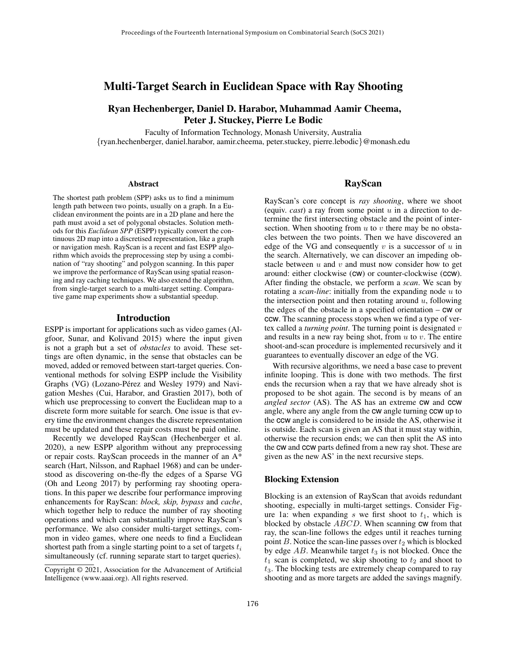# Multi-Target Search in Euclidean Space with Ray Shooting

## Ryan Hechenberger, Daniel D. Harabor, Muhammad Aamir Cheema, Peter J. Stuckey, Pierre Le Bodic

Faculty of Information Technology, Monash University, Australia {ryan.hechenberger, daniel.harabor, aamir.cheema, peter.stuckey, pierre.lebodic}@monash.edu

#### **Abstract**

The shortest path problem (SPP) asks us to find a minimum length path between two points, usually on a graph. In a Euclidean environment the points are in a 2D plane and here the path must avoid a set of polygonal obstacles. Solution methods for this *Euclidean SPP* (ESPP) typically convert the continuous 2D map into a discretised representation, like a graph or navigation mesh. RayScan is a recent and fast ESPP algorithm which avoids the preprocessing step by using a combination of "ray shooting" and polygon scanning. In this paper we improve the performance of RayScan using spatial reasoning and ray caching techniques. We also extend the algorithm, from single-target search to a multi-target setting. Comparative game map experiments show a substantial speedup.

#### Introduction

ESPP is important for applications such as video games (Algfoor, Sunar, and Kolivand 2015) where the input given is not a graph but a set of *obstacles* to avoid. These settings are often dynamic, in the sense that obstacles can be moved, added or removed between start-target queries. Conventional methods for solving ESPP include the Visibility Graphs (VG) (Lozano-Pérez and Wesley 1979) and Navigation Meshes (Cui, Harabor, and Grastien 2017), both of which use preprocessing to convert the Euclidean map to a discrete form more suitable for search. One issue is that every time the environment changes the discrete representation must be updated and these repair costs must be paid online.

Recently we developed RayScan (Hechenberger et al. 2020), a new ESPP algorithm without any preprocessing or repair costs. RayScan proceeds in the manner of an A\* search (Hart, Nilsson, and Raphael 1968) and can be understood as discovering on-the-fly the edges of a Sparse VG (Oh and Leong 2017) by performing ray shooting operations. In this paper we describe four performance improving enhancements for RayScan: *block, skip, bypass* and *cache*, which together help to reduce the number of ray shooting operations and which can substantially improve RayScan's performance. We also consider multi-target settings, common in video games, where one needs to find a Euclidean shortest path from a single starting point to a set of targets  $t_i$ simultaneously (cf. running separate start to target queries).

### RayScan

RayScan's core concept is *ray shooting*, where we shoot (equiv. *cast*) a ray from some point  $u$  in a direction to determine the first intersecting obstacle and the point of intersection. When shooting from  $u$  to  $v$  there may be no obstacles between the two points. Then we have discovered an edge of the VG and consequently  $v$  is a successor of  $u$  in the search. Alternatively, we can discover an impeding obstacle between  $u$  and  $v$  and must now consider how to get around: either clockwise (cw) or counter-clockwise (ccw). After finding the obstacle, we perform a *scan*. We scan by rotating a *scan-line*: initially from the expanding node u to the intersection point and then rotating around  $u$ , following the edges of the obstacle in a specified orientation – cw or ccw. The scanning process stops when we find a type of vertex called a *turning point*. The turning point is designated v and results in a new ray being shot, from  $u$  to  $v$ . The entire shoot-and-scan procedure is implemented recursively and it guarantees to eventually discover an edge of the VG.

With recursive algorithms, we need a base case to prevent infinite looping. This is done with two methods. The first ends the recursion when a ray that we have already shot is proposed to be shot again. The second is by means of an *angled sector* (AS). The AS has an extreme cw and ccw angle, where any angle from the cw angle turning ccw up to the ccw angle is considered to be inside the AS, otherwise it is outside. Each scan is given an AS that it must stay within, otherwise the recursion ends; we can then split the AS into the cw and ccw parts defined from a new ray shot. These are given as the new AS' in the next recursive steps.

#### Blocking Extension

Blocking is an extension of RayScan that avoids redundant shooting, especially in multi-target settings. Consider Figure 1a: when expanding s we first shoot to  $t_1$ , which is blocked by obstacle ABCD. When scanning cw from that ray, the scan-line follows the edges until it reaches turning point  $B$ . Notice the scan-line passes over  $t_2$  which is blocked by edge  $AB$ . Meanwhile target  $t_3$  is not blocked. Once the  $t_1$  scan is completed, we skip shooting to  $t_2$  and shoot to  $t<sub>3</sub>$ . The blocking tests are extremely cheap compared to ray shooting and as more targets are added the savings magnify.

Copyright © 2021, Association for the Advancement of Artificial Intelligence (www.aaai.org). All rights reserved.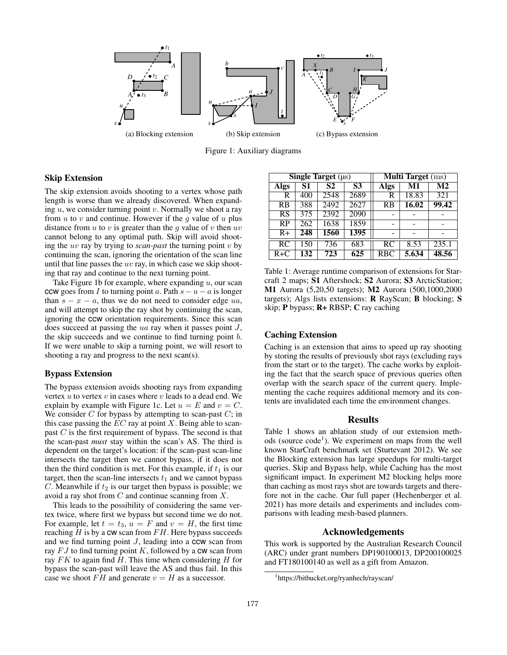

Figure 1: Auxiliary diagrams

### Skip Extension

The skip extension avoids shooting to a vertex whose path length is worse than we already discovered. When expanding  $u$ , we consider turning point  $v$ . Normally we shoot a ray from  $u$  to  $v$  and continue. However if the  $g$  value of  $u$  plus distance from  $u$  to  $v$  is greater than the  $g$  value of  $v$  then  $uv$ cannot belong to any optimal path. Skip will avoid shooting the uv ray by trying to *scan-past* the turning point v by continuing the scan, ignoring the orientation of the scan line until that line passes the  $uv$  ray, in which case we skip shooting that ray and continue to the next turning point.

Take Figure 1b for example, where expanding  $u$ , our scan ccw goes from I to turning point a. Path  $s - u - a$  is longer than  $s - x - a$ , thus we do not need to consider edge ua, and will attempt to skip the ray shot by continuing the scan, ignoring the ccw orientation requirements. Since this scan does succeed at passing the  $ua$  ray when it passes point  $J$ , the skip succeeds and we continue to find turning point b. If we were unable to skip a turning point, we will resort to shooting a ray and progress to the next scan(s).

### Bypass Extension

The bypass extension avoids shooting rays from expanding vertex  $u$  to vertex  $v$  in cases where  $v$  leads to a dead end. We explain by example with Figure 1c. Let  $u = E$  and  $v = C$ . We consider  $C$  for bypass by attempting to scan-past  $C$ ; in this case passing the  $EC$  ray at point X. Being able to scanpast  $C$  is the first requirement of bypass. The second is that the scan-past *must* stay within the scan's AS. The third is dependent on the target's location: if the scan-past scan-line intersects the target then we cannot bypass, if it does not then the third condition is met. For this example, if  $t_1$  is our target, then the scan-line intersects  $t_1$  and we cannot bypass  $C$ . Meanwhile if  $t_2$  is our target then bypass is possible; we avoid a ray shot from  $C$  and continue scanning from  $X$ .

This leads to the possibility of considering the same vertex twice, where first we bypass but second time we do not. For example, let  $t = t_3$ ,  $u = F$  and  $v = H$ , the first time reaching  $H$  is by a  $cw$  scan from  $FH$ . Here bypass succeeds and we find turning point  $J$ , leading into a ccw scan from ray  $FJ$  to find turning point K, followed by a  $cw$  scan from ray  $FK$  to again find  $H$ . This time when considering  $H$  for bypass the scan-past will leave the AS and thus fail. In this case we shoot  $FH$  and generate  $v = H$  as a successor.

| Single Target $(\mu s)$ |     |      |                | <b>Multi Target</b> (ms) |       |                |
|-------------------------|-----|------|----------------|--------------------------|-------|----------------|
| <b>Algs</b>             | S1  | S2   | S <sub>3</sub> | <b>Algs</b>              | M1    | M <sub>2</sub> |
| R                       | 400 | 2548 | 2689           | R                        | 18.83 | 321            |
| RB                      | 388 | 2492 | 2627           | RB                       | 16.02 | 99.42          |
| RS                      | 375 | 2392 | 2090           |                          |       |                |
| RP                      | 262 | 1638 | 1859           |                          |       |                |
| $R+$                    | 248 | 1560 | 1395           |                          |       |                |
| RC                      | 150 | 736  | 683            | <b>RC</b>                | 8.53  | 235.1          |
| $R+C$                   | 132 | 723  | 625            | <b>RBC</b>               | 5.634 | 48.56          |

Table 1: Average runtime comparison of extensions for Starcraft 2 maps; S1 Aftershock; S2 Aurora; S3 ArcticStation; M1 Aurora (5,20,50 targets); M2 Aurora (500,1000,2000 targets); Algs lists extensions: R RayScan; B blocking; S skip; P bypass; R+ RBSP; C ray caching

### Caching Extension

Caching is an extension that aims to speed up ray shooting by storing the results of previously shot rays (excluding rays from the start or to the target). The cache works by exploiting the fact that the search space of previous queries often overlap with the search space of the current query. Implementing the cache requires additional memory and its contents are invalidated each time the environment changes.

#### Results

Table 1 shows an ablation study of our extension methods (source code<sup>1</sup>). We experiment on maps from the well known StarCraft benchmark set (Sturtevant 2012). We see the Blocking extension has large speedups for multi-target queries. Skip and Bypass help, while Caching has the most significant impact. In experiment M2 blocking helps more than caching as most rays shot are towards targets and therefore not in the cache. Our full paper (Hechenberger et al. 2021) has more details and experiments and includes comparisons with leading mesh-based planners.

## Acknowledgements

This work is supported by the Australian Research Council (ARC) under grant numbers DP190100013, DP200100025 and FT180100140 as well as a gift from Amazon.

<sup>1</sup> https://bitbucket.org/ryanhech/rayscan/